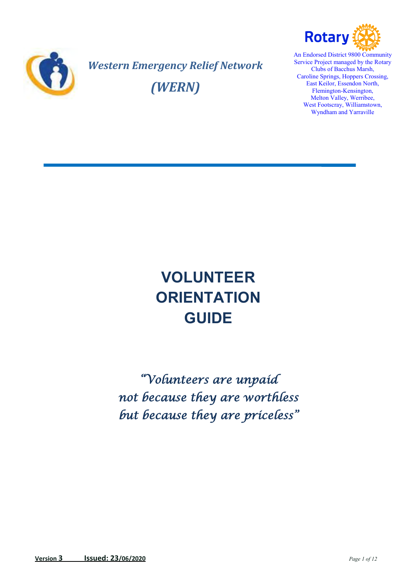

*Western Emergency Relief Network (WERN)*



An Endorsed District 9800 Community Service Project managed by the Rotary Clubs of Bacchus Marsh, Caroline Springs, Hoppers Crossing, East Keilor, Essendon North, Flemington-Kensington, Melton Valley, Werribee, West Footscray, Williamstown, Wyndham and Yarraville

# **VOLUNTEER ORIENTATION GUIDE**

*"Volunteers are unpaid not because they are worthless but because they are priceless"*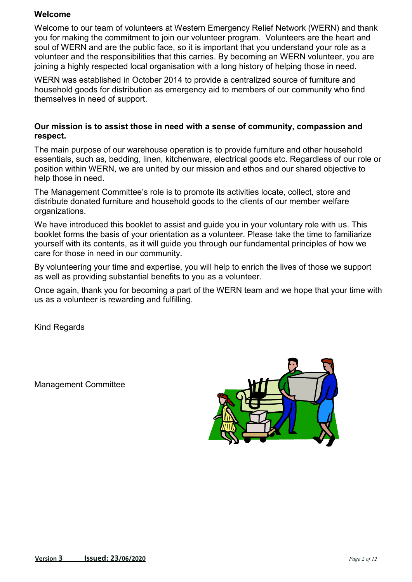#### **Welcome**

Welcome to our team of volunteers at Western Emergency Relief Network (WERN) and thank you for making the commitment to join our volunteer program. Volunteers are the heart and soul of WERN and are the public face, so it is important that you understand your role as a volunteer and the responsibilities that this carries. By becoming an WERN volunteer, you are joining a highly respected local organisation with a long history of helping those in need.

WERN was established in October 2014 to provide a centralized source of furniture and household goods for distribution as emergency aid to members of our community who find themselves in need of support.

#### **Our mission is to assist those in need with a sense of community, compassion and respect.**

The main purpose of our warehouse operation is to provide furniture and other household essentials, such as, bedding, linen, kitchenware, electrical goods etc. Regardless of our role or position within WERN, we are united by our mission and ethos and our shared objective to help those in need.

The Management Committee's role is to promote its activities locate, collect, store and distribute donated furniture and household goods to the clients of our member welfare organizations.

We have introduced this booklet to assist and quide you in your voluntary role with us. This booklet forms the basis of your orientation as a volunteer. Please take the time to familiarize yourself with its contents, as it will guide you through our fundamental principles of how we care for those in need in our community.

By volunteering your time and expertise, you will help to enrich the lives of those we support as well as providing substantial benefits to you as a volunteer.

Once again, thank you for becoming a part of the WERN team and we hope that your time with us as a volunteer is rewarding and fulfilling.

Kind Regards

Management Committee

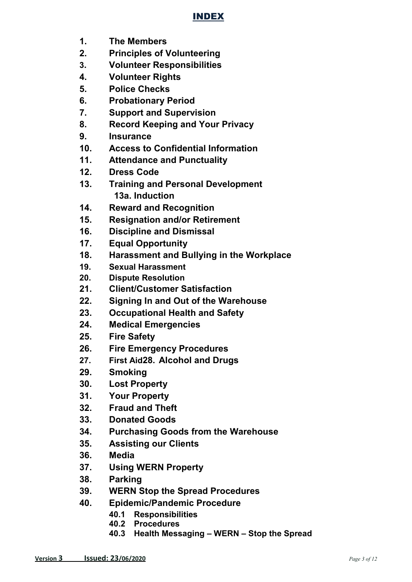# INDEX

- **1. The Members**
- **2. Principles of Volunteering**
- **3. Volunteer Responsibilities**
- **4. Volunteer Rights**
- **5. Police Checks**
- **6. Probationary Period**
- **7. Support and Supervision**
- **8. Record Keeping and Your Privacy**
- **9. Insurance**
- **10. Access to Confidential Information**
- **11. Attendance and Punctuality**
- **12. Dress Code**
- **13. Training and Personal Development 13a. Induction**
- **14. Reward and Recognition**
- **15. Resignation and/or Retirement**
- **16. Discipline and Dismissal**
- **17. Equal Opportunity**
- **18. Harassment and Bullying in the Workplace**
- **19. Sexual Harassment**
- **20. Dispute Resolution**
- **21. Client/Customer Satisfaction**
- **22. Signing In and Out of the Warehouse**
- **23. Occupational Health and Safety**
- **24. Medical Emergencies**
- **25. Fire Safety**
- **26. Fire Emergency Procedures**
- **27. First Aid28. Alcohol and Drugs**
- **29. Smoking**
- **30. Lost Property**
- **31. Your Property**
- **32. Fraud and Theft**
- **33. Donated Goods**
- **34. Purchasing Goods from the Warehouse**
- **35. Assisting our Clients**
- **36. Media**
- **37. Using WERN Property**
- **38. Parking**
- **39. WERN Stop the Spread Procedures**
- **40. Epidemic/Pandemic Procedure** 
	- **40.1 Responsibilities**
	- **40.2 Procedures**
	- **40.3 Health Messaging WERN Stop the Spread**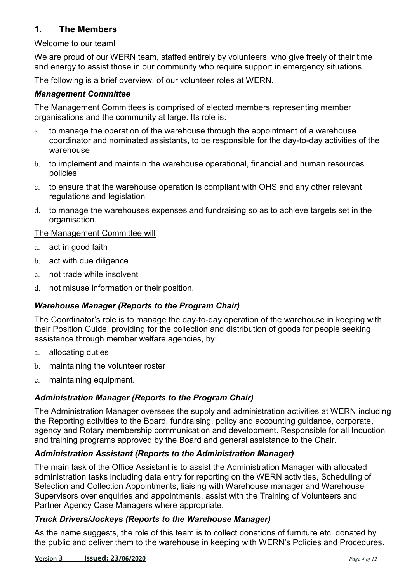## **1. The Members**

#### Welcome to our team!

We are proud of our WERN team, staffed entirely by volunteers, who give freely of their time and energy to assist those in our community who require support in emergency situations.

The following is a brief overview, of our volunteer roles at WERN.

#### *Management Committee*

The Management Committees is comprised of elected members representing member organisations and the community at large. Its role is:

- a. to manage the operation of the warehouse through the appointment of a warehouse coordinator and nominated assistants, to be responsible for the day-to-day activities of the warehouse
- b. to implement and maintain the warehouse operational, financial and human resources policies
- c. to ensure that the warehouse operation is compliant with OHS and any other relevant regulations and legislation
- d. to manage the warehouses expenses and fundraising so as to achieve targets set in the organisation.

#### The Management Committee will

- a. act in good faith
- b. act with due diligence
- c. not trade while insolvent
- d. not misuse information or their position.

#### *Warehouse Manager (Reports to the Program Chair)*

The Coordinator's role is to manage the day-to-day operation of the warehouse in keeping with their Position Guide, providing for the collection and distribution of goods for people seeking assistance through member welfare agencies, by:

- a. allocating duties
- b. maintaining the volunteer roster
- c. maintaining equipment.

#### *Administration Manager (Reports to the Program Chair)*

The Administration Manager oversees the supply and administration activities at WERN including the Reporting activities to the Board, fundraising, policy and accounting guidance, corporate, agency and Rotary membership communication and development. Responsible for all Induction and training programs approved by the Board and general assistance to the Chair.

#### *Administration Assistant (Reports to the Administration Manager)*

The main task of the Office Assistant is to assist the Administration Manager with allocated administration tasks including data entry for reporting on the WERN activities, Scheduling of Selection and Collection Appointments, liaising with Warehouse manager and Warehouse Supervisors over enquiries and appointments, assist with the Training of Volunteers and Partner Agency Case Managers where appropriate.

#### *Truck Drivers/Jockeys (Reports to the Warehouse Manager)*

As the name suggests, the role of this team is to collect donations of furniture etc, donated by the public and deliver them to the warehouse in keeping with WERN's Policies and Procedures.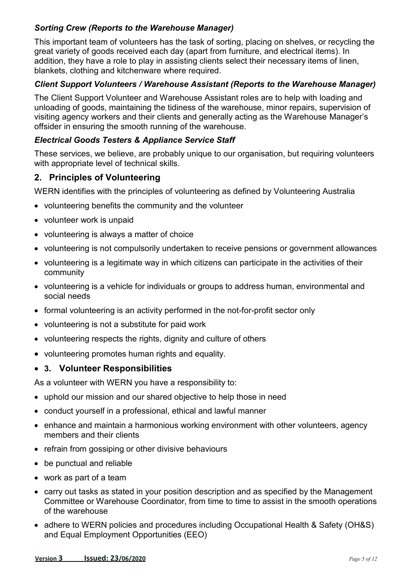#### *Sorting Crew (Reports to the Warehouse Manager)*

This important team of volunteers has the task of sorting, placing on shelves, or recycling the great variety of goods received each day (apart from furniture*,* and electrical items). In addition, they have a role to play in assisting clients select their necessary items of linen, blankets, clothing and kitchenware where required.

#### *Client Support Volunteers / Warehouse Assistant (Reports to the Warehouse Manager)*

The Client Support Volunteer and Warehouse Assistant roles are to help with loading and unloading of goods, maintaining the tidiness of the warehouse, minor repairs, supervision of visiting agency workers and their clients and generally acting as the Warehouse Manager's offsider in ensuring the smooth running of the warehouse.

#### *Electrical Goods Testers & Appliance Service Staff*

These services, we believe, are probably unique to our organisation, but requiring volunteers with appropriate level of technical skills.

# **2. Principles of Volunteering**

WERN identifies with the principles of volunteering as defined by Volunteering Australia

- volunteering benefits the community and the volunteer
- volunteer work is unpaid
- volunteering is always a matter of choice
- volunteering is not compulsorily undertaken to receive pensions or government allowances
- volunteering is a legitimate way in which citizens can participate in the activities of their community
- volunteering is a vehicle for individuals or groups to address human, environmental and social needs
- formal volunteering is an activity performed in the not-for-profit sector only
- volunteering is not a substitute for paid work
- volunteering respects the rights, dignity and culture of others
- volunteering promotes human rights and equality.

#### **3. Volunteer Responsibilities**

As a volunteer with WERN you have a responsibility to:

- uphold our mission and our shared objective to help those in need
- conduct yourself in a professional, ethical and lawful manner
- enhance and maintain a harmonious working environment with other volunteers, agency members and their clients
- refrain from gossiping or other divisive behaviours
- be punctual and reliable
- work as part of a team
- carry out tasks as stated in your position description and as specified by the Management Committee or Warehouse Coordinator, from time to time to assist in the smooth operations of the warehouse
- adhere to WERN policies and procedures including Occupational Health & Safety (OH&S) and Equal Employment Opportunities (EEO)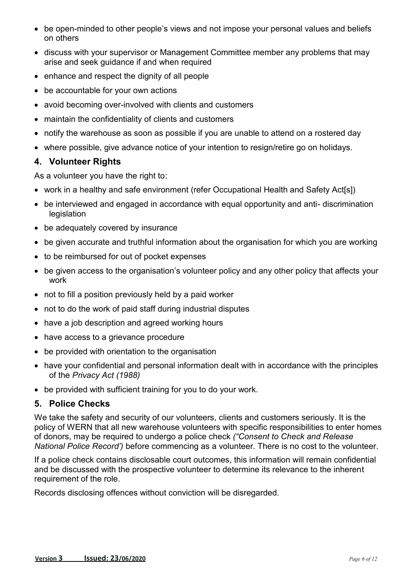- be open-minded to other people's views and not impose your personal values and beliefs on others
- discuss with your supervisor or Management Committee member any problems that may arise and seek guidance if and when required
- enhance and respect the dignity of all people
- be accountable for your own actions
- avoid becoming over-involved with clients and customers
- maintain the confidentiality of clients and customers
- notify the warehouse as soon as possible if you are unable to attend on a rostered day
- where possible, give advance notice of your intention to resign/retire go on holidays.

## **4. Volunteer Rights**

As a volunteer you have the right to:

- work in a healthy and safe environment (refer Occupational Health and Safety Act[s])
- be interviewed and engaged in accordance with equal opportunity and anti- discrimination legislation
- be adequately covered by insurance
- be given accurate and truthful information about the organisation for which you are working
- to be reimbursed for out of pocket expenses
- be given access to the organisation's volunteer policy and any other policy that affects your work
- not to fill a position previously held by a paid worker
- not to do the work of paid staff during industrial disputes
- have a job description and agreed working hours
- have access to a grievance procedure
- be provided with orientation to the organisation
- have your confidential and personal information dealt with in accordance with the principles of the *Privacy Act (1988)*
- be provided with sufficient training for you to do your work.

## **5. Police Checks**

We take the safety and security of our volunteers, clients and customers seriously. It is the policy of WERN that all new warehouse volunteers with specific responsibilities to enter homes of donors, may be required to undergo a police check *("Consent to Check and Release National Police Record')* before commencing as a volunteer. There is no cost to the volunteer.

If a police check contains disclosable court outcomes, this information will remain confidential and be discussed with the prospective volunteer to determine its relevance to the inherent requirement of the role.

Records disclosing offences without conviction will be disregarded.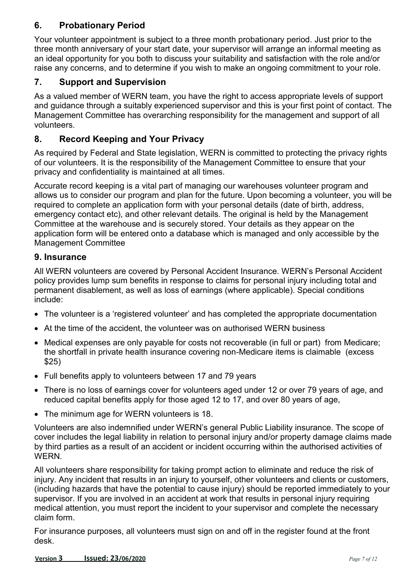# **6. Probationary Period**

Your volunteer appointment is subject to a three month probationary period. Just prior to the three month anniversary of your start date, your supervisor will arrange an informal meeting as an ideal opportunity for you both to discuss your suitability and satisfaction with the role and/or raise any concerns, and to determine if you wish to make an ongoing commitment to your role.

# **7. Support and Supervision**

As a valued member of WERN team, you have the right to access appropriate levels of support and guidance through a suitably experienced supervisor and this is your first point of contact. The Management Committee has overarching responsibility for the management and support of all volunteers.

## **8. Record Keeping and Your Privacy**

As required by Federal and State legislation, WERN is committed to protecting the privacy rights of our volunteers. It is the responsibility of the Management Committee to ensure that your privacy and confidentiality is maintained at all times.

Accurate record keeping is a vital part of managing our warehouses volunteer program and allows us to consider our program and plan for the future. Upon becoming a volunteer, you will be required to complete an application form with your personal details (date of birth, address, emergency contact etc), and other relevant details. The original is held by the Management Committee at the warehouse and is securely stored. Your details as they appear on the application form will be entered onto a database which is managed and only accessible by the Management Committee

#### **9. Insurance**

All WERN volunteers are covered by Personal Accident Insurance. WERN's Personal Accident policy provides lump sum benefits in response to claims for personal injury including total and permanent disablement, as well as loss of earnings (where applicable). Special conditions include:

- The volunteer is a 'registered volunteer' and has completed the appropriate documentation
- At the time of the accident, the volunteer was on authorised WERN business
- Medical expenses are only payable for costs not recoverable (in full or part) from Medicare; the shortfall in private health insurance covering non-Medicare items is claimable (excess \$25)
- Full benefits apply to volunteers between 17 and 79 years
- There is no loss of earnings cover for volunteers aged under 12 or over 79 years of age, and reduced capital benefits apply for those aged 12 to 17, and over 80 years of age,
- The minimum age for WERN volunteers is 18.

Volunteers are also indemnified under WERN's general Public Liability insurance. The scope of cover includes the legal liability in relation to personal injury and/or property damage claims made by third parties as a result of an accident or incident occurring within the authorised activities of WERN.

All volunteers share responsibility for taking prompt action to eliminate and reduce the risk of injury. Any incident that results in an injury to yourself, other volunteers and clients or customers, (including hazards that have the potential to cause injury) should be reported immediately to your supervisor. If you are involved in an accident at work that results in personal injury requiring medical attention, you must report the incident to your supervisor and complete the necessary claim form.

For insurance purposes, all volunteers must sign on and off in the register found at the front desk.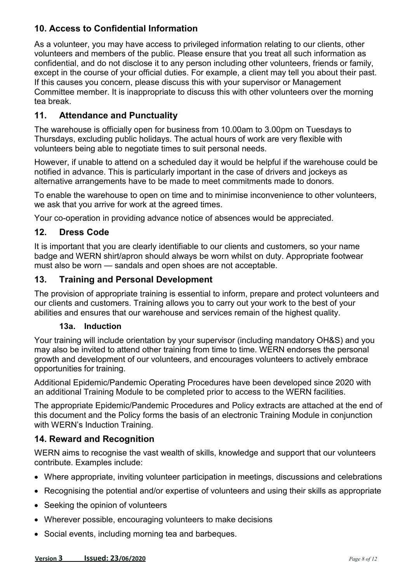# **10. Access to Confidential Information**

As a volunteer, you may have access to privileged information relating to our clients, other volunteers and members of the public. Please ensure that you treat all such information as confidential, and do not disclose it to any person including other volunteers, friends or family, except in the course of your official duties. For example, a client may tell you about their past. If this causes you concern, please discuss this with your supervisor or Management Committee member. It is inappropriate to discuss this with other volunteers over the morning tea break.

# **11. Attendance and Punctuality**

The warehouse is officially open for business from 10.00am to 3.00pm on Tuesdays to Thursdays, excluding public holidays. The actual hours of work are very flexible with volunteers being able to negotiate times to suit personal needs.

However, if unable to attend on a scheduled day it would be helpful if the warehouse could be notified in advance. This is particularly important in the case of drivers and jockeys as alternative arrangements have to be made to meet commitments made to donors.

To enable the warehouse to open on time and to minimise inconvenience to other volunteers, we ask that you arrive for work at the agreed times.

Your co-operation in providing advance notice of absences would be appreciated.

## **12. Dress Code**

It is important that you are clearly identifiable to our clients and customers, so your name badge and WERN shirt/apron should always be worn whilst on duty. Appropriate footwear must also be worn — sandals and open shoes are not acceptable.

#### **13. Training and Personal Development**

The provision of appropriate training is essential to inform, prepare and protect volunteers and our clients and customers. Training allows you to carry out your work to the best of your abilities and ensures that our warehouse and services remain of the highest quality.

#### **13a. Induction**

Your training will include orientation by your supervisor (including mandatory OH&S) and you may also be invited to attend other training from time to time. WERN endorses the personal growth and development of our volunteers, and encourages volunteers to actively embrace opportunities for training.

Additional Epidemic/Pandemic Operating Procedures have been developed since 2020 with an additional Training Module to be completed prior to access to the WERN facilities.

The appropriate Epidemic/Pandemic Procedures and Policy extracts are attached at the end of this document and the Policy forms the basis of an electronic Training Module in conjunction with WERN's Induction Training.

## **14. Reward and Recognition**

WERN aims to recognise the vast wealth of skills, knowledge and support that our volunteers contribute. Examples include:

- Where appropriate, inviting volunteer participation in meetings, discussions and celebrations
- Recognising the potential and/or expertise of volunteers and using their skills as appropriate
- Seeking the opinion of volunteers
- Wherever possible, encouraging volunteers to make decisions
- Social events, including morning tea and barbeques.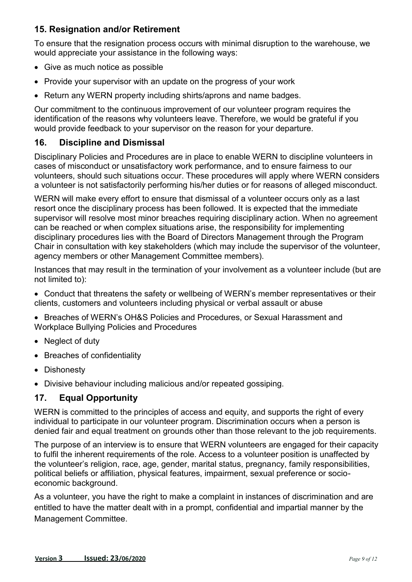## **15. Resignation and/or Retirement**

To ensure that the resignation process occurs with minimal disruption to the warehouse, we would appreciate your assistance in the following ways:

- Give as much notice as possible
- Provide your supervisor with an update on the progress of your work
- Return any WERN property including shirts/aprons and name badges.

Our commitment to the continuous improvement of our volunteer program requires the identification of the reasons why volunteers leave. Therefore, we would be grateful if you would provide feedback to your supervisor on the reason for your departure.

## **16. Discipline and Dismissal**

Disciplinary Policies and Procedures are in place to enable WERN to discipline volunteers in cases of misconduct or unsatisfactory work performance, and to ensure fairness to our volunteers, should such situations occur. These procedures will apply where WERN considers a volunteer is not satisfactorily performing his/her duties or for reasons of alleged misconduct.

WERN will make every effort to ensure that dismissal of a volunteer occurs only as a last resort once the disciplinary process has been followed. It is expected that the immediate supervisor will resolve most minor breaches requiring disciplinary action. When no agreement can be reached or when complex situations arise, the responsibility for implementing disciplinary procedures lies with the Board of Directors Management through the Program Chair in consultation with key stakeholders (which may include the supervisor of the volunteer, agency members or other Management Committee members).

Instances that may result in the termination of your involvement as a volunteer include (but are not limited to):

 Conduct that threatens the safety or wellbeing of WERN's member representatives or their clients, customers and volunteers including physical or verbal assault or abuse

- Breaches of WERN's OH&S Policies and Procedures, or Sexual Harassment and Workplace Bullying Policies and Procedures
- Neglect of duty
- Breaches of confidentiality
- Dishonesty
- Divisive behaviour including malicious and/or repeated gossiping.

# **17. Equal Opportunity**

WERN is committed to the principles of access and equity, and supports the right of every individual to participate in our volunteer program. Discrimination occurs when a person is denied fair and equal treatment on grounds other than those relevant to the job requirements.

The purpose of an interview is to ensure that WERN volunteers are engaged for their capacity to fulfil the inherent requirements of the role. Access to a volunteer position is unaffected by the volunteer's religion, race, age, gender, marital status, pregnancy, family responsibilities, political beliefs or affiliation, physical features, impairment, sexual preference or socioeconomic background.

As a volunteer, you have the right to make a complaint in instances of discrimination and are entitled to have the matter dealt with in a prompt, confidential and impartial manner by the Management Committee.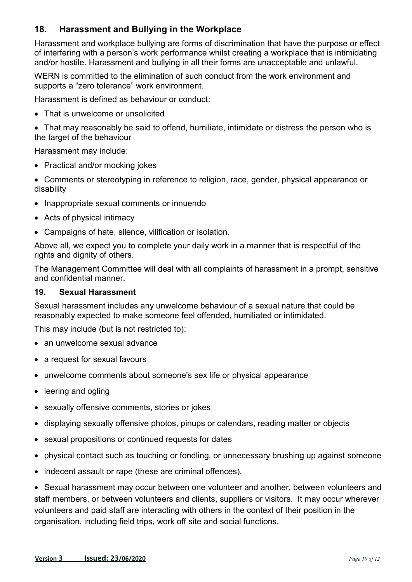## **18. Harassment and Bullying in the Workplace**

Harassment and workplace bullying are forms of discrimination that have the purpose or effect of interfering with a person's work performance whilst creating a workplace that is intimidating and/or hostile. Harassment and bullying in all their forms are unacceptable and unlawful.

WERN is committed to the elimination of such conduct from the work environment and supports a "zero tolerance" work environment.

Harassment is defined as behaviour or conduct:

- That is unwelcome or unsolicited
- That may reasonably be said to offend, humiliate, intimidate or distress the person who is the target of the behaviour

Harassment may include:

- Practical and/or mocking jokes
- Comments or stereotyping in reference to religion, race, gender, physical appearance or disability
- Inappropriate sexual comments or innuendo
- Acts of physical intimacy
- Campaigns of hate, silence, vilification or isolation.

Above all, we expect you to complete your daily work in a manner that is respectful of the rights and dignity of others.

The Management Committee will deal with all complaints of harassment in a prompt, sensitive and confidential manner.

#### **19. Sexual Harassment**

Sexual harassment includes any unwelcome behaviour of a sexual nature that could be reasonably expected to make someone feel offended, humiliated or intimidated.

This may include (but is not restricted to):

- an unwelcome sexual advance
- a request for sexual favours
- unwelcome comments about someone's sex life or physical appearance
- leering and ogling
- sexually offensive comments, stories or jokes
- displaying sexually offensive photos, pinups or calendars, reading matter or objects
- sexual propositions or continued requests for dates
- physical contact such as touching or fondling, or unnecessary brushing up against someone
- indecent assault or rape (these are criminal offences).

 Sexual harassment may occur between one volunteer and another, between volunteers and staff members, or between volunteers and clients, suppliers or visitors. It may occur wherever volunteers and paid staff are interacting with others in the context of their position in the organisation, including field trips, work off site and social functions.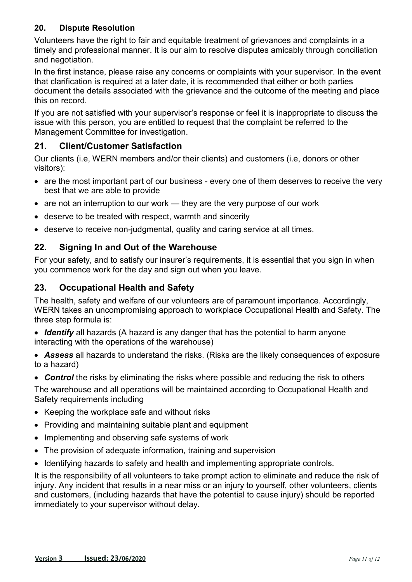#### **20. Dispute Resolution**

Volunteers have the right to fair and equitable treatment of grievances and complaints in a timely and professional manner. It is our aim to resolve disputes amicably through conciliation and negotiation.

In the first instance, please raise any concerns or complaints with your supervisor. In the event that clarification is required at a later date, it is recommended that either or both parties document the details associated with the grievance and the outcome of the meeting and place this on record.

If you are not satisfied with your supervisor's response or feel it is inappropriate to discuss the issue with this person, you are entitled to request that the complaint be referred to the Management Committee for investigation.

#### **21. Client/Customer Satisfaction**

Our clients (i.e, WERN members and/or their clients) and customers (i.e, donors or other visitors):

- are the most important part of our business every one of them deserves to receive the very best that we are able to provide
- are not an interruption to our work they are the very purpose of our work
- deserve to be treated with respect, warmth and sincerity
- deserve to receive non-judgmental, quality and caring service at all times.

# **22. Signing In and Out of the Warehouse**

For your safety, and to satisfy our insurer's requirements, it is essential that you sign in when you commence work for the day and sign out when you leave.

# **23. Occupational Health and Safety**

The health, safety and welfare of our volunteers are of paramount importance. Accordingly, WERN takes an uncompromising approach to workplace Occupational Health and Safety. The three step formula is:

- *Identify* all hazards (A hazard is any danger that has the potential to harm anyone interacting with the operations of the warehouse)
- *Assess* all hazards to understand the risks. (Risks are the likely consequences of exposure to a hazard)

• **Control** the risks by eliminating the risks where possible and reducing the risk to others The warehouse and all operations will be maintained according to Occupational Health and Safety requirements including

- Keeping the workplace safe and without risks
- Providing and maintaining suitable plant and equipment
- Implementing and observing safe systems of work
- The provision of adequate information, training and supervision
- Identifying hazards to safety and health and implementing appropriate controls.

It is the responsibility of all volunteers to take prompt action to eliminate and reduce the risk of injury. Any incident that results in a near miss or an injury to yourself, other volunteers, clients and customers, (including hazards that have the potential to cause injury) should be reported immediately to your supervisor without delay.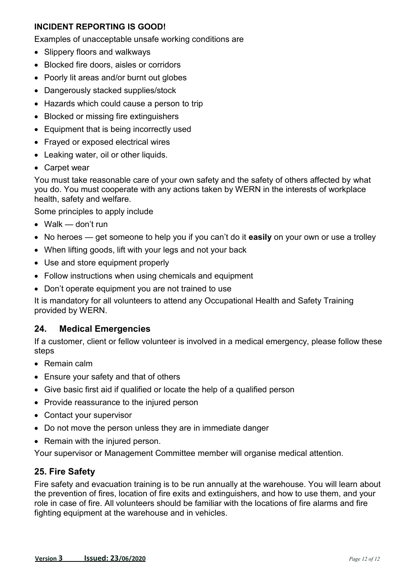#### **INCIDENT REPORTING IS GOOD!**

Examples of unacceptable unsafe working conditions are

- Slippery floors and walkways
- Blocked fire doors, aisles or corridors
- Poorly lit areas and/or burnt out globes
- Dangerously stacked supplies/stock
- Hazards which could cause a person to trip
- Blocked or missing fire extinguishers
- Equipment that is being incorrectly used
- Frayed or exposed electrical wires
- Leaking water, oil or other liquids.
- Carpet wear

You must take reasonable care of your own safety and the safety of others affected by what you do. You must cooperate with any actions taken by WERN in the interests of workplace health, safety and welfare.

Some principles to apply include

- Walk don't run
- No heroes get someone to help you if you can't do it **easily** on your own or use a trolley
- When lifting goods, lift with your legs and not your back
- Use and store equipment properly
- Follow instructions when using chemicals and equipment
- Don't operate equipment you are not trained to use

It is mandatory for all volunteers to attend any Occupational Health and Safety Training provided by WERN.

#### **24. Medical Emergencies**

If a customer, client or fellow volunteer is involved in a medical emergency, please follow these steps

- Remain calm
- Ensure your safety and that of others
- Give basic first aid if qualified or locate the help of a qualified person
- Provide reassurance to the injured person
- Contact your supervisor
- Do not move the person unless they are in immediate danger
- Remain with the injured person.

Your supervisor or Management Committee member will organise medical attention.

#### **25. Fire Safety**

Fire safety and evacuation training is to be run annually at the warehouse. You will learn about the prevention of fires, location of fire exits and extinguishers, and how to use them, and your role in case of fire. All volunteers should be familiar with the locations of fire alarms and fire fighting equipment at the warehouse and in vehicles.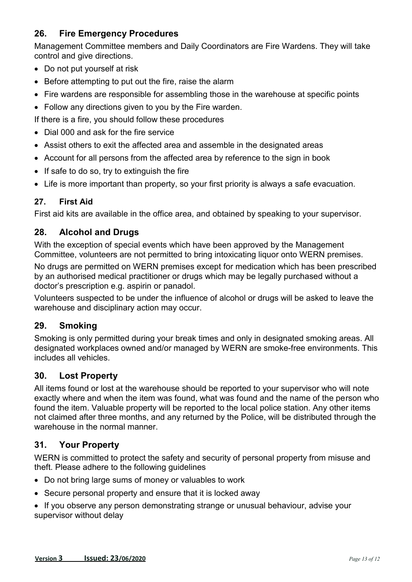# **26. Fire Emergency Procedures**

Management Committee members and Daily Coordinators are Fire Wardens. They will take control and give directions.

- Do not put yourself at risk
- Before attempting to put out the fire, raise the alarm
- Fire wardens are responsible for assembling those in the warehouse at specific points
- Follow any directions given to you by the Fire warden.
- If there is a fire, you should follow these procedures
- Dial 000 and ask for the fire service
- Assist others to exit the affected area and assemble in the designated areas
- Account for all persons from the affected area by reference to the sign in book
- If safe to do so, try to extinguish the fire
- Life is more important than property, so your first priority is always a safe evacuation.

#### **27. First Aid**

First aid kits are available in the office area, and obtained by speaking to your supervisor.

#### **28. Alcohol and Drugs**

With the exception of special events which have been approved by the Management Committee, volunteers are not permitted to bring intoxicating liquor onto WERN premises.

No drugs are permitted on WERN premises except for medication which has been prescribed by an authorised medical practitioner or drugs which may be legally purchased without a doctor's prescription e.g. aspirin or panadol.

Volunteers suspected to be under the influence of alcohol or drugs will be asked to leave the warehouse and disciplinary action may occur.

#### **29. Smoking**

Smoking is only permitted during your break times and only in designated smoking areas. All designated workplaces owned and/or managed by WERN are smoke-free environments. This includes all vehicles.

#### **30. Lost Property**

All items found or lost at the warehouse should be reported to your supervisor who will note exactly where and when the item was found, what was found and the name of the person who found the item. Valuable property will be reported to the local police station. Any other items not claimed after three months, and any returned by the Police, will be distributed through the warehouse in the normal manner.

## **31. Your Property**

WERN is committed to protect the safety and security of personal property from misuse and theft. Please adhere to the following guidelines

- Do not bring large sums of money or valuables to work
- Secure personal property and ensure that it is locked away
- If you observe any person demonstrating strange or unusual behaviour, advise your supervisor without delay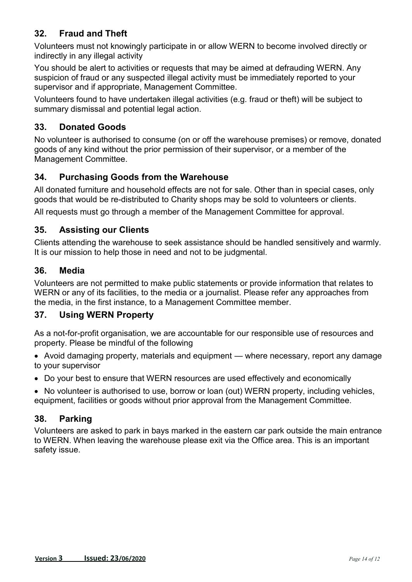# **32. Fraud and Theft**

Volunteers must not knowingly participate in or allow WERN to become involved directly or indirectly in any illegal activity

You should be alert to activities or requests that may be aimed at defrauding WERN. Any suspicion of fraud or any suspected illegal activity must be immediately reported to your supervisor and if appropriate, Management Committee.

Volunteers found to have undertaken illegal activities (e.g. fraud or theft) will be subject to summary dismissal and potential legal action.

## **33. Donated Goods**

No volunteer is authorised to consume (on or off the warehouse premises) or remove, donated goods of any kind without the prior permission of their supervisor, or a member of the Management Committee.

# **34. Purchasing Goods from the Warehouse**

All donated furniture and household effects are not for sale. Other than in special cases, only goods that would be re-distributed to Charity shops may be sold to volunteers or clients.

All requests must go through a member of the Management Committee for approval.

## **35. Assisting our Clients**

Clients attending the warehouse to seek assistance should be handled sensitively and warmly. It is our mission to help those in need and not to be judgmental.

#### **36. Media**

Volunteers are not permitted to make public statements or provide information that relates to WERN or any of its facilities, to the media or a journalist. Please refer any approaches from the media, in the first instance, to a Management Committee member.

## **37. Using WERN Property**

As a not-for-profit organisation, we are accountable for our responsible use of resources and property. Please be mindful of the following

• Avoid damaging property, materials and equipment — where necessary, report any damage to your supervisor

Do your best to ensure that WERN resources are used effectively and economically

• No volunteer is authorised to use, borrow or loan (out) WERN property, including vehicles, equipment, facilities or goods without prior approval from the Management Committee.

## **38. Parking**

Volunteers are asked to park in bays marked in the eastern car park outside the main entrance to WERN. When leaving the warehouse please exit via the Office area. This is an important safety issue.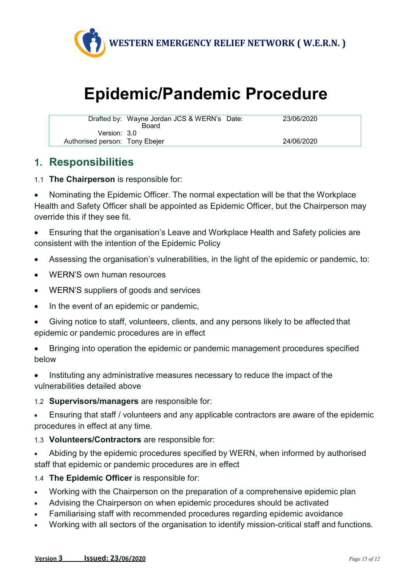

# **Epidemic/Pandemic Procedure**

|                                | Drafted by: Wayne Jordan JCS & WERN's Date: | 23/06/2020 |
|--------------------------------|---------------------------------------------|------------|
|                                | <b>Board</b>                                |            |
| Version: 3.0                   |                                             |            |
| Authorised person: Tony Ebejer |                                             | 24/06/2020 |

# **1. Responsibilities**

1.1 **The Chairperson** is responsible for:

 Nominating the Epidemic Officer. The normal expectation will be that the Workplace Health and Safety Officer shall be appointed as Epidemic Officer, but the Chairperson may override this if they see fit.

 Ensuring that the organisation's Leave and Workplace Health and Safety policies are consistent with the intention of the Epidemic Policy

- Assessing the organisation's vulnerabilities, in the light of the epidemic or pandemic, to:
- WERN'S own human resources
- WERN'S suppliers of goods and services
- In the event of an epidemic or pandemic,
- Giving notice to staff, volunteers, clients, and any persons likely to be affected that epidemic or pandemic procedures are in effect
- Bringing into operation the epidemic or pandemic management procedures specified below

 Instituting any administrative measures necessary to reduce the impact of the vulnerabilities detailed above

#### 1.2 **Supervisors/managers** are responsible for:

 Ensuring that staff / volunteers and any applicable contractors are aware of the epidemic procedures in effect at any time.

- 1.3 **Volunteers/Contractors** are responsible for:
- Abiding by the epidemic procedures specified by WERN, when informed by authorised staff that epidemic or pandemic procedures are in effect
- 1.4 **The Epidemic Officer** is responsible for:
- Working with the Chairperson on the preparation of a comprehensive epidemic plan
- Advising the Chairperson on when epidemic procedures should be activated
- Familiarising staff with recommended procedures regarding epidemic avoidance
- Working with all sectors of the organisation to identify mission-critical staff and functions.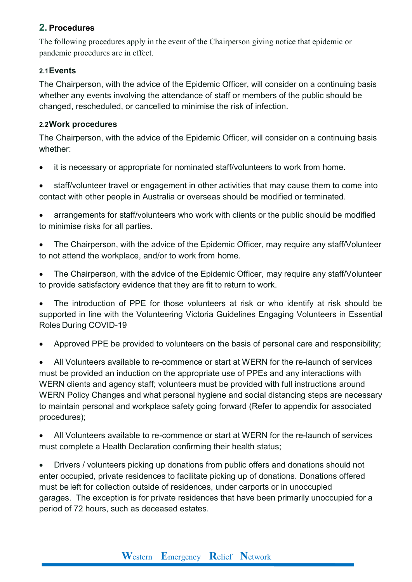## **2. Procedures**

The following procedures apply in the event of the Chairperson giving notice that epidemic or pandemic procedures are in effect.

#### **2.1 Events**

The Chairperson, with the advice of the Epidemic Officer, will consider on a continuing basis whether any events involving the attendance of staff or members of the public should be changed, rescheduled, or cancelled to minimise the risk of infection.

#### **2.2 Work procedures**

The Chairperson, with the advice of the Epidemic Officer, will consider on a continuing basis whether:

it is necessary or appropriate for nominated staff/volunteers to work from home.

 staff/volunteer travel or engagement in other activities that may cause them to come into contact with other people in Australia or overseas should be modified or terminated.

 arrangements for staff/volunteers who work with clients or the public should be modified to minimise risks for all parties.

 The Chairperson, with the advice of the Epidemic Officer, may require any staff/Volunteer to not attend the workplace, and/or to work from home.

 The Chairperson, with the advice of the Epidemic Officer, may require any staff/Volunteer to provide satisfactory evidence that they are fit to return to work.

 The introduction of PPE for those volunteers at risk or who identify at risk should be supported in line with the Volunteering Victoria Guidelines Engaging Volunteers in Essential Roles During COVID-19

Approved PPE be provided to volunteers on the basis of personal care and responsibility;

 All Volunteers available to re-commence or start at WERN for the re-launch of services must be provided an induction on the appropriate use of PPEs and any interactions with WERN clients and agency staff; volunteers must be provided with full instructions around WERN Policy Changes and what personal hygiene and social distancing steps are necessary to maintain personal and workplace safety going forward (Refer to appendix for associated procedures);

 All Volunteers available to re-commence or start at WERN for the re-launch of services must complete a Health Declaration confirming their health status;

 Drivers / volunteers picking up donations from public offers and donations should not enter occupied, private residences to facilitate picking up of donations. Donations offered must be left for collection outside of residences, under carports or in unoccupied garages. The exception is for private residences that have been primarily unoccupied for a period of 72 hours, such as deceased estates.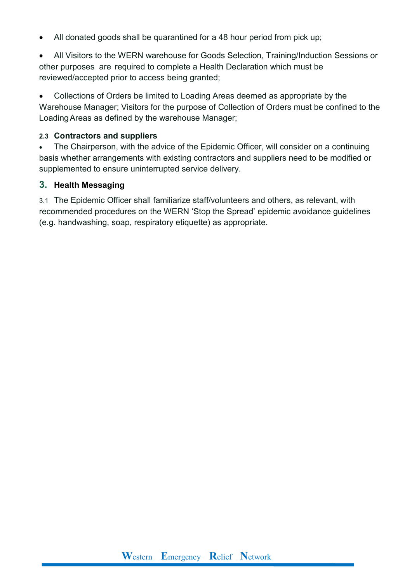• All donated goods shall be quarantined for a 48 hour period from pick up;

 All Visitors to the WERN warehouse for Goods Selection, Training/Induction Sessions or other purposes are required to complete a Health Declaration which must be reviewed/accepted prior to access being granted;

 Collections of Orders be limited to Loading Areas deemed as appropriate by the Warehouse Manager; Visitors for the purpose of Collection of Orders must be confined to the Loading Areas as defined by the warehouse Manager;

#### **2.3 Contractors and suppliers**

• The Chairperson, with the advice of the Epidemic Officer, will consider on a continuing basis whether arrangements with existing contractors and suppliers need to be modified or supplemented to ensure uninterrupted service delivery.

#### **3. Health Messaging**

3.1 The Epidemic Officer shall familiarize staff/volunteers and others, as relevant, with recommended procedures on the WERN 'Stop the Spread' epidemic avoidance guidelines (e.g. handwashing, soap, respiratory etiquette) as appropriate.